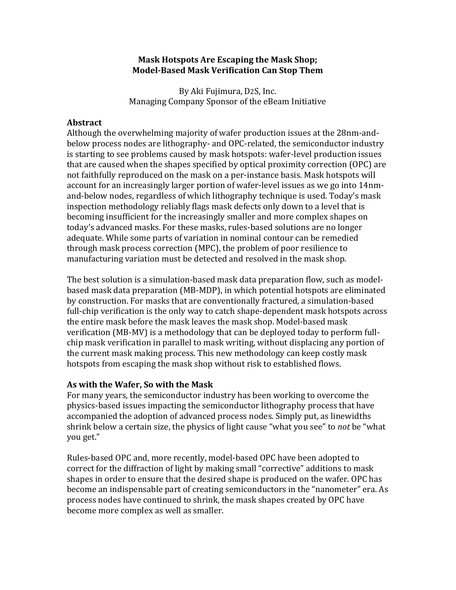### **Mask Hotspots Are Escaping the Mask Shop; Model-Based Mask Verification Can Stop Them**

By Aki Fujimura, D2S, Inc. Managing Company Sponsor of the eBeam Initiative

### **Abstract**

Although the overwhelming majority of wafer production issues at the 28nm-andbelow process nodes are lithography- and OPC-related, the semiconductor industry is starting to see problems caused by mask hotspots: wafer-level production issues that are caused when the shapes specified by optical proximity correction  $(OPC)$  are not faithfully reproduced on the mask on a per-instance basis. Mask hotspots will account for an increasingly larger portion of wafer-level issues as we go into 14nmand-below nodes, regardless of which lithography technique is used. Today's mask inspection methodology reliably flags mask defects only down to a level that is becoming insufficient for the increasingly smaller and more complex shapes on today's advanced masks. For these masks, rules-based solutions are no longer adequate. While some parts of variation in nominal contour can be remedied through mask process correction (MPC), the problem of poor resilience to manufacturing variation must be detected and resolved in the mask shop.

The best solution is a simulation-based mask data preparation flow, such as modelbased mask data preparation (MB-MDP), in which potential hotspots are eliminated by construction. For masks that are conventionally fractured, a simulation-based full-chip verification is the only way to catch shape-dependent mask hotspots across the entire mask before the mask leaves the mask shop. Model-based mask verification (MB-MV) is a methodology that can be deployed today to perform fullchip mask verification in parallel to mask writing, without displacing any portion of the current mask making process. This new methodology can keep costly mask hotspots from escaping the mask shop without risk to established flows.

## As with the Wafer, So with the Mask

For many years, the semiconductor industry has been working to overcome the physics-based issues impacting the semiconductor lithography process that have accompanied the adoption of advanced process nodes. Simply put, as linewidths shrink below a certain size, the physics of light cause "what you see" to *not* be "what you get." 

Rules-based OPC and, more recently, model-based OPC have been adopted to correct for the diffraction of light by making small "corrective" additions to mask shapes in order to ensure that the desired shape is produced on the wafer. OPC has become an indispensable part of creating semiconductors in the "nanometer" era. As process nodes have continued to shrink, the mask shapes created by OPC have become more complex as well as smaller.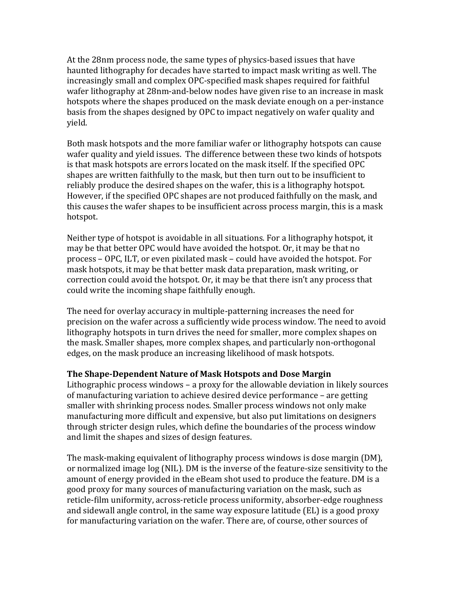At the 28nm process node, the same types of physics-based issues that have haunted lithography for decades have started to impact mask writing as well. The increasingly small and complex OPC-specified mask shapes required for faithful wafer lithography at 28nm-and-below nodes have given rise to an increase in mask hotspots where the shapes produced on the mask deviate enough on a per-instance basis from the shapes designed by OPC to impact negatively on wafer quality and yield. 

Both mask hotspots and the more familiar wafer or lithography hotspots can cause wafer quality and yield issues. The difference between these two kinds of hotspots is that mask hotspots are errors located on the mask itself. If the specified OPC shapes are written faithfully to the mask, but then turn out to be insufficient to reliably produce the desired shapes on the wafer, this is a lithography hotspot. However, if the specified OPC shapes are not produced faithfully on the mask, and this causes the wafer shapes to be insufficient across process margin, this is a mask hotspot. 

Neither type of hotspot is avoidable in all situations. For a lithography hotspot, it may be that better OPC would have avoided the hotspot. Or, it may be that no process – OPC, ILT, or even pixilated mask – could have avoided the hotspot. For mask hotspots, it may be that better mask data preparation, mask writing, or correction could avoid the hotspot. Or, it may be that there isn't any process that could write the incoming shape faithfully enough.

The need for overlay accuracy in multiple-patterning increases the need for precision on the wafer across a sufficiently wide process window. The need to avoid lithography hotspots in turn drives the need for smaller, more complex shapes on the mask. Smaller shapes, more complex shapes, and particularly non-orthogonal edges, on the mask produce an increasing likelihood of mask hotspots.

## **The Shape-Dependent Nature of Mask Hotspots and Dose Margin**

Lithographic process windows  $-$  a proxy for the allowable deviation in likely sources of manufacturing variation to achieve desired device performance – are getting smaller with shrinking process nodes. Smaller process windows not only make manufacturing more difficult and expensive, but also put limitations on designers through stricter design rules, which define the boundaries of the process window and limit the shapes and sizes of design features.

The mask-making equivalent of lithography process windows is dose margin (DM), or normalized image  $log(NIL)$ . DM is the inverse of the feature-size sensitivity to the amount of energy provided in the eBeam shot used to produce the feature. DM is a good proxy for many sources of manufacturing variation on the mask, such as reticle-film uniformity, across-reticle process uniformity, absorber-edge roughness and sidewall angle control, in the same way exposure latitude  $(EL)$  is a good proxy for manufacturing variation on the wafer. There are, of course, other sources of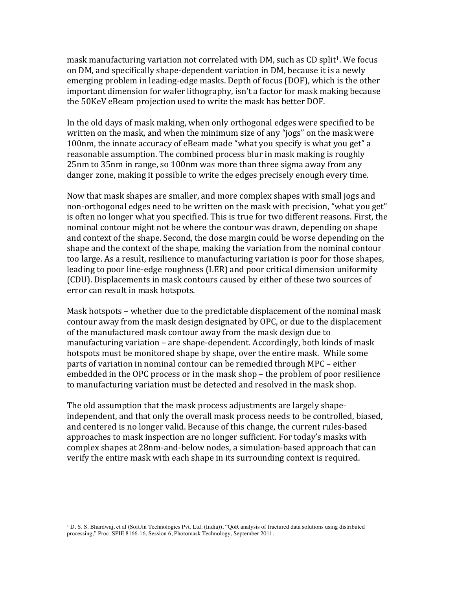mask manufacturing variation not correlated with DM, such as CD split<sup>1</sup>. We focus on DM, and specifically shape-dependent variation in DM, because it is a newly emerging problem in leading-edge masks. Depth of focus (DOF), which is the other important dimension for wafer lithography, isn't a factor for mask making because the 50KeV eBeam projection used to write the mask has better DOF.

In the old days of mask making, when only orthogonal edges were specified to be written on the mask, and when the minimum size of any "jogs" on the mask were 100nm, the innate accuracy of eBeam made "what you specify is what you get" a reasonable assumption. The combined process blur in mask making is roughly 25nm to 35nm in range, so 100nm was more than three sigma away from any danger zone, making it possible to write the edges precisely enough every time.

Now that mask shapes are smaller, and more complex shapes with small jogs and non-orthogonal edges need to be written on the mask with precision, "what you get" is often no longer what you specified. This is true for two different reasons. First, the nominal contour might not be where the contour was drawn, depending on shape and context of the shape. Second, the dose margin could be worse depending on the shape and the context of the shape, making the variation from the nominal contour too large. As a result, resilience to manufacturing variation is poor for those shapes, leading to poor line-edge roughness (LER) and poor critical dimension uniformity (CDU). Displacements in mask contours caused by either of these two sources of error can result in mask hotspots.

Mask hotspots – whether due to the predictable displacement of the nominal mask contour away from the mask design designated by OPC, or due to the displacement of the manufactured mask contour away from the mask design due to manufacturing variation – are shape-dependent. Accordingly, both kinds of mask hotspots must be monitored shape by shape, over the entire mask. While some parts of variation in nominal contour can be remedied through MPC – either embedded in the OPC process or in the mask shop – the problem of poor resilience to manufacturing variation must be detected and resolved in the mask shop.

The old assumption that the mask process adjustments are largely shapeindependent, and that only the overall mask process needs to be controlled, biased, and centered is no longer valid. Because of this change, the current rules-based approaches to mask inspection are no longer sufficient. For today's masks with complex shapes at 28nm-and-below nodes, a simulation-based approach that can verify the entire mask with each shape in its surrounding context is required.

 

<sup>1</sup> D. S. S. Bhardwaj, et al (SoftJin Technologies Pvt. Ltd. (India)), "QoR analysis of fractured data solutions using distributed processing," Proc. SPIE 8166-16, Session 6, Photomask Technology, September 2011.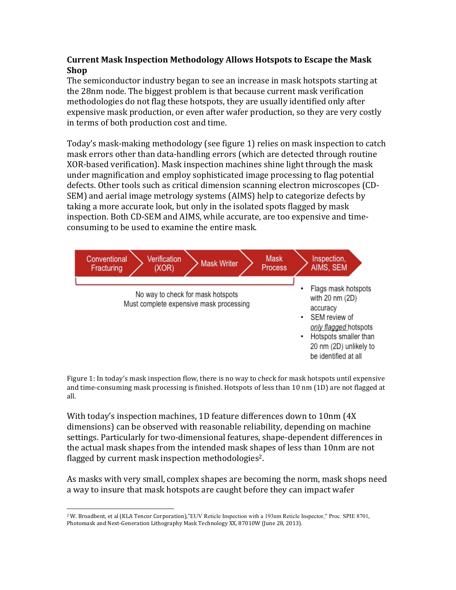# **Current Mask Inspection Methodology Allows Hotspots to Escape the Mask Shop**

The semiconductor industry began to see an increase in mask hotspots starting at the 28nm node. The biggest problem is that because current mask verification methodologies do not flag these hotspots, they are usually identified only after expensive mask production, or even after wafer production, so they are very costly in terms of both production cost and time.

Today's mask-making methodology (see figure 1) relies on mask inspection to catch mask errors other than data-handling errors (which are detected through routine XOR-based verification). Mask inspection machines shine light through the mask under magnification and employ sophisticated image processing to flag potential defects. Other tools such as critical dimension scanning electron microscopes (CD-SEM) and aerial image metrology systems (AIMS) help to categorize defects by taking a more accurate look, but only in the isolated spots flagged by mask inspection. Both CD-SEM and AIMS, while accurate, are too expensive and timeconsuming to be used to examine the entire mask.



Figure 1: In today's mask inspection flow, there is no way to check for mask hotspots until expensive and time-consuming mask processing is finished. Hotspots of less than  $10 \text{ nm}$  (1D) are not flagged at all.

With today's inspection machines, 1D feature differences down to 10nm (4X) dimensions) can be observed with reasonable reliability, depending on machine settings. Particularly for two-dimensional features, shape-dependent differences in the actual mask shapes from the intended mask shapes of less than 10nm are not flagged by current mask inspection methodologies<sup>2</sup>.

As masks with very small, complex shapes are becoming the norm, mask shops need a way to insure that mask hotspots are caught before they can impact wafer

 <sup>2</sup> W. Broadbent, et al (KLA Tencor Corporation),"EUV Reticle Inspection with a 193nm Reticle Inspector," Proc. SPIE 8701, Photomask and Next-Generation Lithography Mask Technology XX, 87010W (June 28, 2013).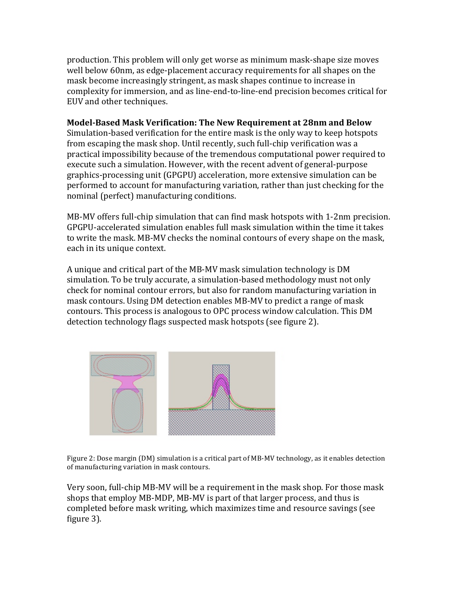production. This problem will only get worse as minimum mask-shape size moves well below 60nm, as edge-placement accuracy requirements for all shapes on the mask become increasingly stringent, as mask shapes continue to increase in complexity for immersion, and as line-end-to-line-end precision becomes critical for EUV and other techniques.

# **Model-Based Mask Verification: The New Requirement at 28nm and Below**

Simulation-based verification for the entire mask is the only way to keep hotspots from escaping the mask shop. Until recently, such full-chip verification was a practical impossibility because of the tremendous computational power required to execute such a simulation. However, with the recent advent of general-purpose graphics-processing unit (GPGPU) acceleration, more extensive simulation can be performed to account for manufacturing variation, rather than just checking for the nominal (perfect) manufacturing conditions.

MB-MV offers full-chip simulation that can find mask hotspots with 1-2nm precision. GPGPU-accelerated simulation enables full mask simulation within the time it takes to write the mask. MB-MV checks the nominal contours of every shape on the mask, each in its unique context.

A unique and critical part of the MB-MV mask simulation technology is DM simulation. To be truly accurate, a simulation-based methodology must not only check for nominal contour errors, but also for random manufacturing variation in mask contours. Using DM detection enables MB-MV to predict a range of mask contours. This process is analogous to OPC process window calculation. This DM detection technology flags suspected mask hotspots (see figure 2).



Figure 2: Dose margin (DM) simulation is a critical part of MB-MV technology, as it enables detection of manufacturing variation in mask contours.

Very soon, full-chip MB-MV will be a requirement in the mask shop. For those mask shops that employ MB-MDP, MB-MV is part of that larger process, and thus is completed before mask writing, which maximizes time and resource savings (see figure 3).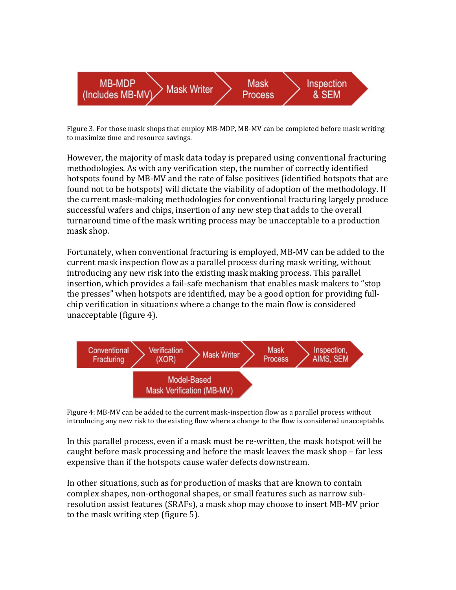

Figure 3. For those mask shops that employ MB-MDP, MB-MV can be completed before mask writing to maximize time and resource savings.

However, the majority of mask data today is prepared using conventional fracturing methodologies. As with any verification step, the number of correctly identified hotspots found by MB-MV and the rate of false positives (identified hotspots that are found not to be hotspots) will dictate the viability of adoption of the methodology. If the current mask-making methodologies for conventional fracturing largely produce successful wafers and chips, insertion of any new step that adds to the overall turnaround time of the mask writing process may be unacceptable to a production mask shop.

Fortunately, when conventional fracturing is employed, MB-MV can be added to the current mask inspection flow as a parallel process during mask writing, without introducing any new risk into the existing mask making process. This parallel insertion, which provides a fail-safe mechanism that enables mask makers to "stop the presses" when hotspots are identified, may be a good option for providing fullchip verification in situations where a change to the main flow is considered unacceptable (figure 4).



Figure 4: MB-MV can be added to the current mask-inspection flow as a parallel process without introducing any new risk to the existing flow where a change to the flow is considered unacceptable.

In this parallel process, even if a mask must be re-written, the mask hotspot will be caught before mask processing and before the mask leaves the mask shop – far less expensive than if the hotspots cause wafer defects downstream.

In other situations, such as for production of masks that are known to contain complex shapes, non-orthogonal shapes, or small features such as narrow subresolution assist features (SRAFs), a mask shop may choose to insert MB-MV prior to the mask writing step (figure 5).